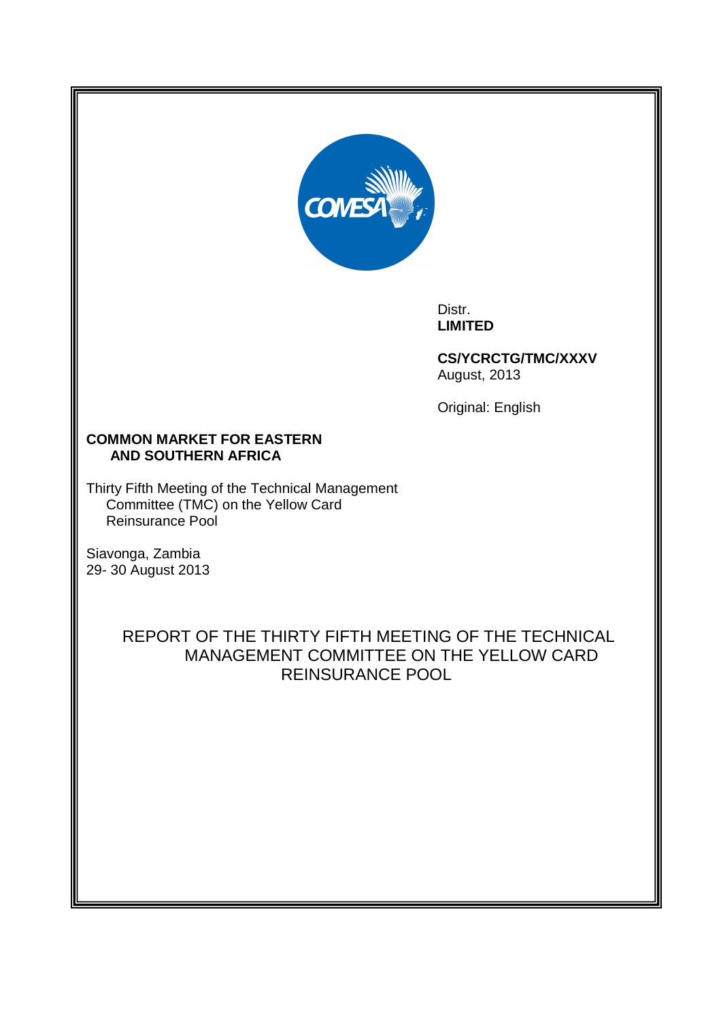

Distr. **LIMITED** 

**CS/YCRCTG/TMC/XXXV**  August, 2013

Original: English

# **COMMON MARKET FOR EASTERN AND SOUTHERN AFRICA**

Thirty Fifth Meeting of the Technical Management Committee (TMC) on the Yellow Card Reinsurance Pool

Siavonga, Zambia 29- 30 August 2013

# REPORT OF THE THIRTY FIFTH MEETING OF THE TECHNICAL MANAGEMENT COMMITTEE ON THE YELLOW CARD REINSURANCE POOL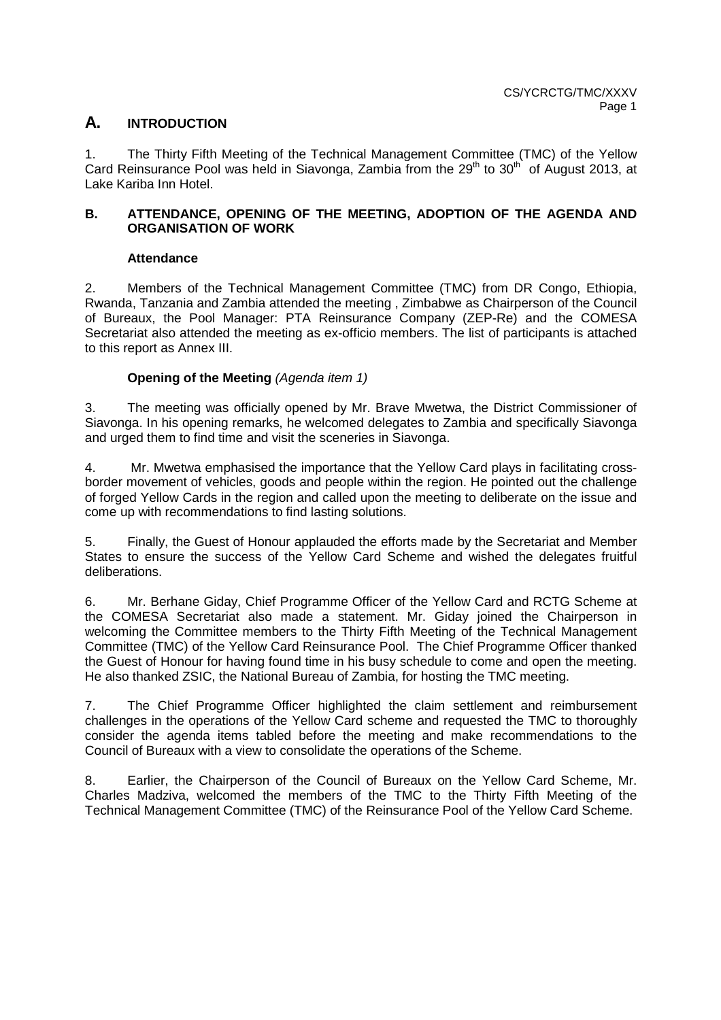# **A. INTRODUCTION**

1. The Thirty Fifth Meeting of the Technical Management Committee (TMC) of the Yellow Card Reinsurance Pool was held in Siavonga, Zambia from the  $29<sup>th</sup>$  to  $30<sup>th</sup>$  of August 2013, at Lake Kariba Inn Hotel.

# **B. ATTENDANCE, OPENING OF THE MEETING, ADOPTION OF THE AGENDA AND ORGANISATION OF WORK**

# **Attendance**

2. Members of the Technical Management Committee (TMC) from DR Congo, Ethiopia, Rwanda, Tanzania and Zambia attended the meeting , Zimbabwe as Chairperson of the Council of Bureaux, the Pool Manager: PTA Reinsurance Company (ZEP-Re) and the COMESA Secretariat also attended the meeting as ex-officio members. The list of participants is attached to this report as Annex III.

# **Opening of the Meeting (Agenda item 1)**

3. The meeting was officially opened by Mr. Brave Mwetwa, the District Commissioner of Siavonga. In his opening remarks, he welcomed delegates to Zambia and specifically Siavonga and urged them to find time and visit the sceneries in Siavonga.

4. Mr. Mwetwa emphasised the importance that the Yellow Card plays in facilitating crossborder movement of vehicles, goods and people within the region. He pointed out the challenge of forged Yellow Cards in the region and called upon the meeting to deliberate on the issue and come up with recommendations to find lasting solutions.

5. Finally, the Guest of Honour applauded the efforts made by the Secretariat and Member States to ensure the success of the Yellow Card Scheme and wished the delegates fruitful deliberations.

6. Mr. Berhane Giday, Chief Programme Officer of the Yellow Card and RCTG Scheme at the COMESA Secretariat also made a statement. Mr. Giday joined the Chairperson in welcoming the Committee members to the Thirty Fifth Meeting of the Technical Management Committee (TMC) of the Yellow Card Reinsurance Pool. The Chief Programme Officer thanked the Guest of Honour for having found time in his busy schedule to come and open the meeting. He also thanked ZSIC, the National Bureau of Zambia, for hosting the TMC meeting.

7. The Chief Programme Officer highlighted the claim settlement and reimbursement challenges in the operations of the Yellow Card scheme and requested the TMC to thoroughly consider the agenda items tabled before the meeting and make recommendations to the Council of Bureaux with a view to consolidate the operations of the Scheme.

8. Earlier, the Chairperson of the Council of Bureaux on the Yellow Card Scheme, Mr. Charles Madziva, welcomed the members of the TMC to the Thirty Fifth Meeting of the Technical Management Committee (TMC) of the Reinsurance Pool of the Yellow Card Scheme.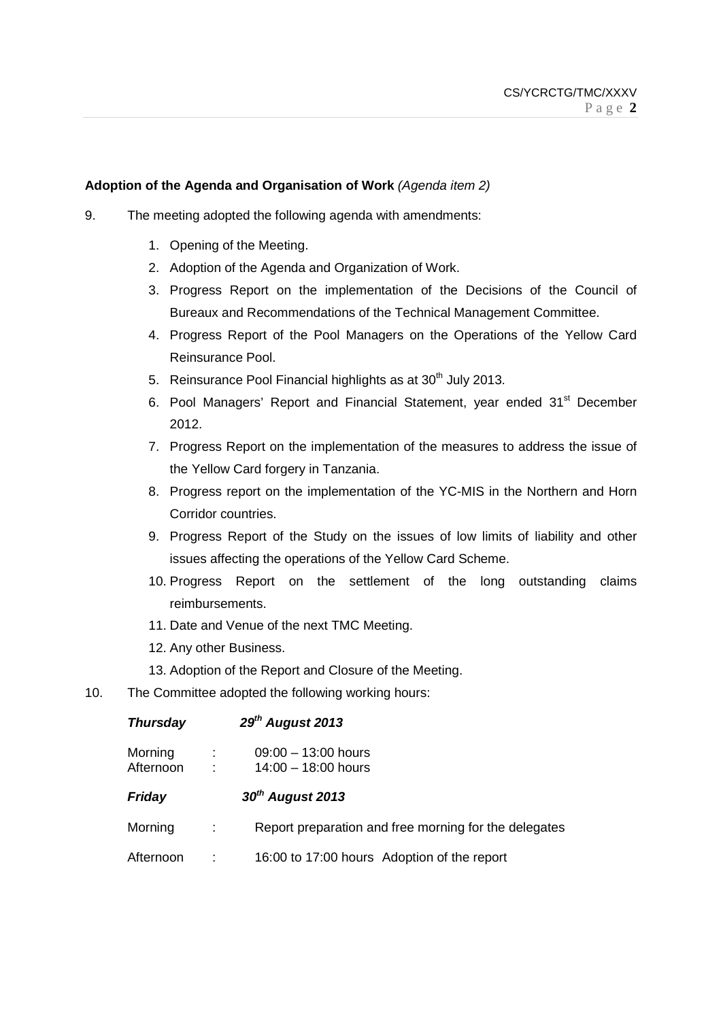# **Adoption of the Agenda and Organisation of Work** (Agenda item 2)

- 9. The meeting adopted the following agenda with amendments:
	- 1. Opening of the Meeting.
	- 2. Adoption of the Agenda and Organization of Work.
	- 3. Progress Report on the implementation of the Decisions of the Council of Bureaux and Recommendations of the Technical Management Committee.
	- 4. Progress Report of the Pool Managers on the Operations of the Yellow Card Reinsurance Pool.
	- 5. Reinsurance Pool Financial highlights as at  $30<sup>th</sup>$  July 2013.
	- 6. Pool Managers' Report and Financial Statement, year ended 31<sup>st</sup> December 2012.
	- 7. Progress Report on the implementation of the measures to address the issue of the Yellow Card forgery in Tanzania.
	- 8. Progress report on the implementation of the YC-MIS in the Northern and Horn Corridor countries.
	- 9. Progress Report of the Study on the issues of low limits of liability and other issues affecting the operations of the Yellow Card Scheme.
	- 10. Progress Report on the settlement of the long outstanding claims reimbursements.
	- 11. Date and Venue of the next TMC Meeting.
	- 12. Any other Business.
	- 13. Adoption of the Report and Closure of the Meeting.
- 10. The Committee adopted the following working hours:

| <b>Thursday</b>      |   | 29 <sup>th</sup> August 2013                          |
|----------------------|---|-------------------------------------------------------|
| Morning<br>Afternoon | ÷ | $09:00 - 13:00$ hours<br>$14:00 - 18:00$ hours        |
| Friday               |   | 30 <sup>th</sup> August 2013                          |
| Morning              | ÷ | Report preparation and free morning for the delegates |
| Afternoon            | ÷ | 16:00 to 17:00 hours Adoption of the report           |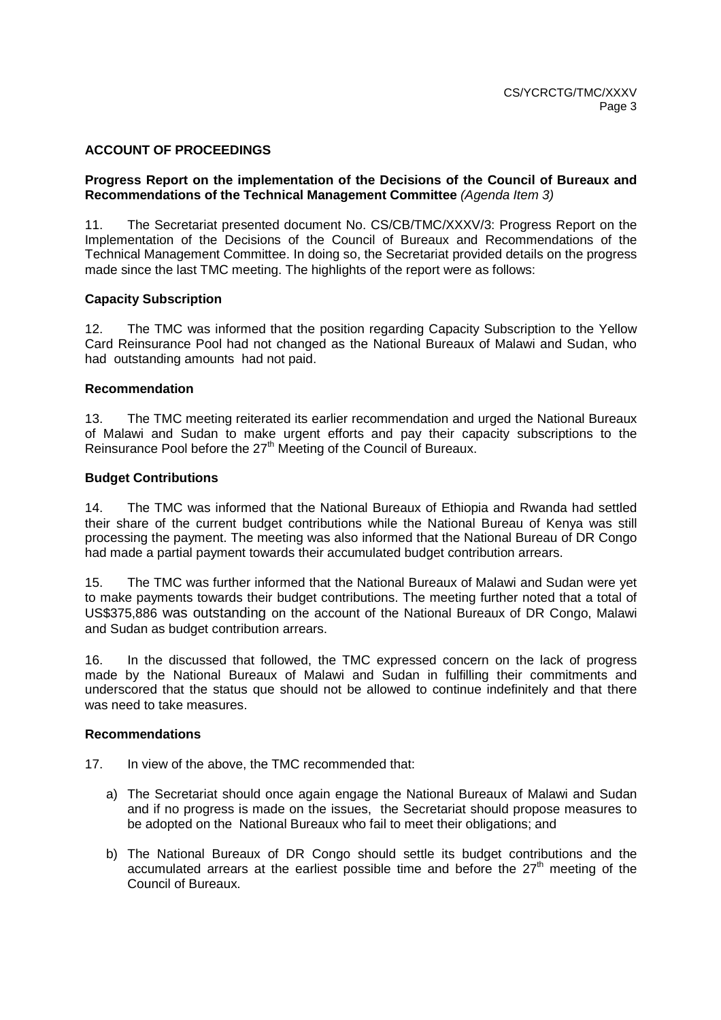# **ACCOUNT OF PROCEEDINGS**

# **Progress Report on the implementation of the Decisions of the Council of Bureaux and Recommendations of the Technical Management Committee** (Agenda Item 3)

11. The Secretariat presented document No. CS/CB/TMC/XXXV/3: Progress Report on the Implementation of the Decisions of the Council of Bureaux and Recommendations of the Technical Management Committee. In doing so, the Secretariat provided details on the progress made since the last TMC meeting. The highlights of the report were as follows:

### **Capacity Subscription**

12. The TMC was informed that the position regarding Capacity Subscription to the Yellow Card Reinsurance Pool had not changed as the National Bureaux of Malawi and Sudan, who had outstanding amounts had not paid.

#### **Recommendation**

13. The TMC meeting reiterated its earlier recommendation and urged the National Bureaux of Malawi and Sudan to make urgent efforts and pay their capacity subscriptions to the Reinsurance Pool before the 27th Meeting of the Council of Bureaux.

#### **Budget Contributions**

14. The TMC was informed that the National Bureaux of Ethiopia and Rwanda had settled their share of the current budget contributions while the National Bureau of Kenya was still processing the payment. The meeting was also informed that the National Bureau of DR Congo had made a partial payment towards their accumulated budget contribution arrears.

15. The TMC was further informed that the National Bureaux of Malawi and Sudan were yet to make payments towards their budget contributions. The meeting further noted that a total of US\$375,886 was outstanding on the account of the National Bureaux of DR Congo, Malawi and Sudan as budget contribution arrears.

16. In the discussed that followed, the TMC expressed concern on the lack of progress made by the National Bureaux of Malawi and Sudan in fulfilling their commitments and underscored that the status que should not be allowed to continue indefinitely and that there was need to take measures.

#### **Recommendations**

- 17. In view of the above, the TMC recommended that:
	- a) The Secretariat should once again engage the National Bureaux of Malawi and Sudan and if no progress is made on the issues, the Secretariat should propose measures to be adopted on the National Bureaux who fail to meet their obligations; and
	- b) The National Bureaux of DR Congo should settle its budget contributions and the accumulated arrears at the earliest possible time and before the  $27<sup>th</sup>$  meeting of the Council of Bureaux.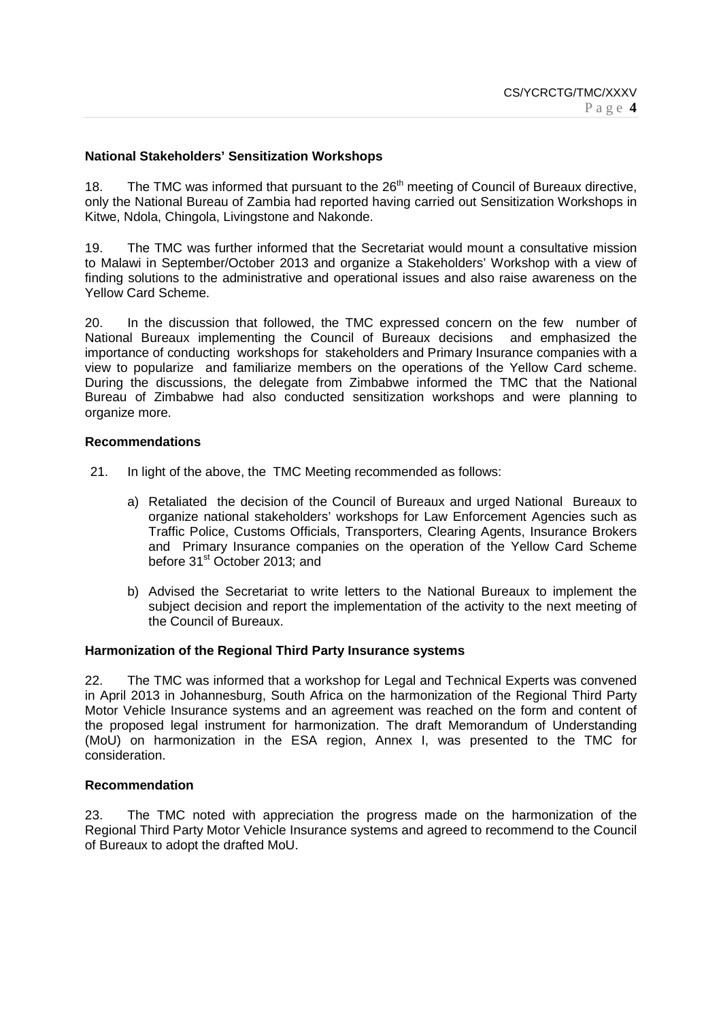### **National Stakeholders' Sensitization Workshops**

18. The TMC was informed that pursuant to the  $26<sup>th</sup>$  meeting of Council of Bureaux directive, only the National Bureau of Zambia had reported having carried out Sensitization Workshops in Kitwe, Ndola, Chingola, Livingstone and Nakonde.

19. The TMC was further informed that the Secretariat would mount a consultative mission to Malawi in September/October 2013 and organize a Stakeholders' Workshop with a view of finding solutions to the administrative and operational issues and also raise awareness on the Yellow Card Scheme.

20. In the discussion that followed, the TMC expressed concern on the few number of National Bureaux implementing the Council of Bureaux decisions and emphasized the importance of conducting workshops for stakeholders and Primary Insurance companies with a view to popularize and familiarize members on the operations of the Yellow Card scheme. During the discussions, the delegate from Zimbabwe informed the TMC that the National Bureau of Zimbabwe had also conducted sensitization workshops and were planning to organize more.

#### **Recommendations**

- 21. In light of the above, the TMC Meeting recommended as follows:
	- a) Retaliated the decision of the Council of Bureaux and urged National Bureaux to organize national stakeholders' workshops for Law Enforcement Agencies such as Traffic Police, Customs Officials, Transporters, Clearing Agents, Insurance Brokers and Primary Insurance companies on the operation of the Yellow Card Scheme before 31<sup>st</sup> October 2013; and
	- b) Advised the Secretariat to write letters to the National Bureaux to implement the subject decision and report the implementation of the activity to the next meeting of the Council of Bureaux.

# **Harmonization of the Regional Third Party Insurance systems**

22. The TMC was informed that a workshop for Legal and Technical Experts was convened in April 2013 in Johannesburg, South Africa on the harmonization of the Regional Third Party Motor Vehicle Insurance systems and an agreement was reached on the form and content of the proposed legal instrument for harmonization. The draft Memorandum of Understanding (MoU) on harmonization in the ESA region, Annex I, was presented to the TMC for consideration.

### **Recommendation**

23. The TMC noted with appreciation the progress made on the harmonization of the Regional Third Party Motor Vehicle Insurance systems and agreed to recommend to the Council of Bureaux to adopt the drafted MoU.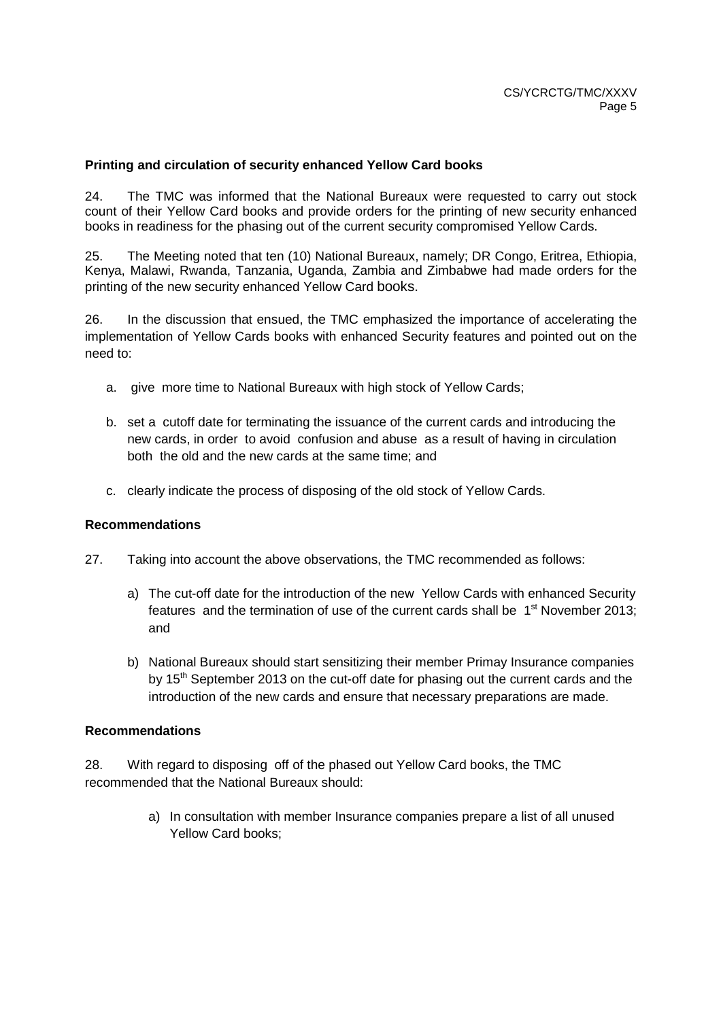# **Printing and circulation of security enhanced Yellow Card books**

24. The TMC was informed that the National Bureaux were requested to carry out stock count of their Yellow Card books and provide orders for the printing of new security enhanced books in readiness for the phasing out of the current security compromised Yellow Cards.

25. The Meeting noted that ten (10) National Bureaux, namely; DR Congo, Eritrea, Ethiopia, Kenya, Malawi, Rwanda, Tanzania, Uganda, Zambia and Zimbabwe had made orders for the printing of the new security enhanced Yellow Card books.

26. In the discussion that ensued, the TMC emphasized the importance of accelerating the implementation of Yellow Cards books with enhanced Security features and pointed out on the need to:

- a. give more time to National Bureaux with high stock of Yellow Cards;
- b. set a cutoff date for terminating the issuance of the current cards and introducing the new cards, in order to avoid confusion and abuse as a result of having in circulation both the old and the new cards at the same time; and
- c. clearly indicate the process of disposing of the old stock of Yellow Cards.

# **Recommendations**

- 27. Taking into account the above observations, the TMC recommended as follows:
	- a) The cut-off date for the introduction of the new Yellow Cards with enhanced Security features and the termination of use of the current cards shall be  $1<sup>st</sup>$  November 2013; and
	- b) National Bureaux should start sensitizing their member Primay Insurance companies by  $15<sup>th</sup>$  September 2013 on the cut-off date for phasing out the current cards and the introduction of the new cards and ensure that necessary preparations are made.

### **Recommendations**

28. With regard to disposing off of the phased out Yellow Card books, the TMC recommended that the National Bureaux should:

> a) In consultation with member Insurance companies prepare a list of all unused Yellow Card books;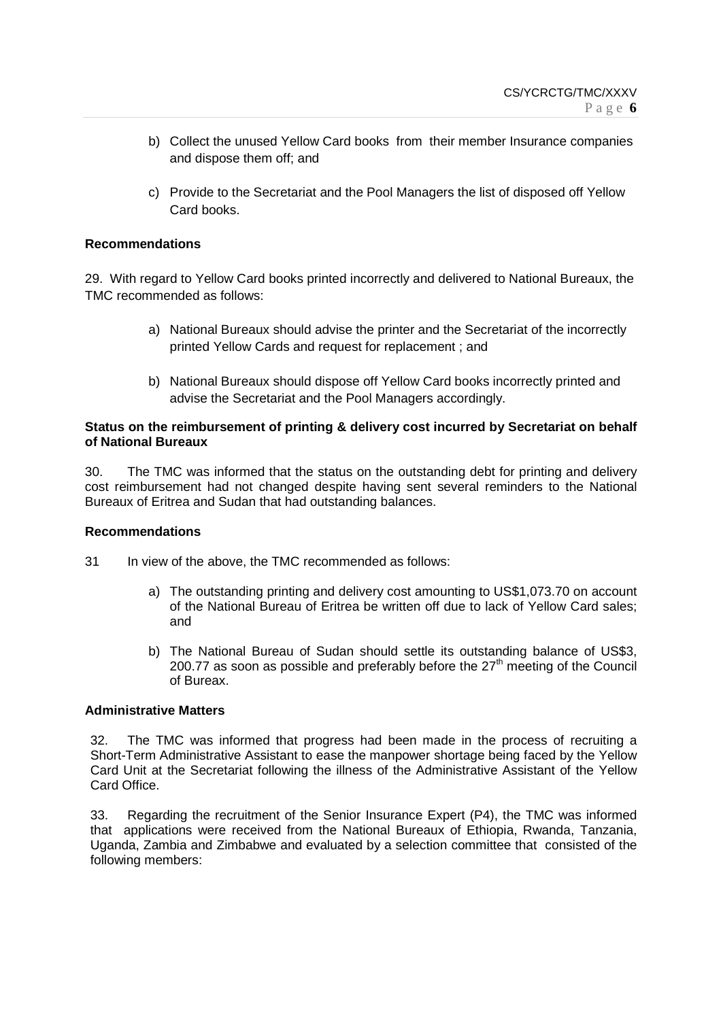- b) Collect the unused Yellow Card books from their member Insurance companies and dispose them off; and
- c) Provide to the Secretariat and the Pool Managers the list of disposed off Yellow Card books.

### **Recommendations**

29. With regard to Yellow Card books printed incorrectly and delivered to National Bureaux, the TMC recommended as follows:

- a) National Bureaux should advise the printer and the Secretariat of the incorrectly printed Yellow Cards and request for replacement ; and
- b) National Bureaux should dispose off Yellow Card books incorrectly printed and advise the Secretariat and the Pool Managers accordingly.

# **Status on the reimbursement of printing & delivery cost incurred by Secretariat on behalf of National Bureaux**

30. The TMC was informed that the status on the outstanding debt for printing and delivery cost reimbursement had not changed despite having sent several reminders to the National Bureaux of Eritrea and Sudan that had outstanding balances.

### **Recommendations**

- 31 In view of the above, the TMC recommended as follows:
	- a) The outstanding printing and delivery cost amounting to US\$1,073.70 on account of the National Bureau of Eritrea be written off due to lack of Yellow Card sales; and
	- b) The National Bureau of Sudan should settle its outstanding balance of US\$3, 200.77 as soon as possible and preferably before the  $27<sup>th</sup>$  meeting of the Council of Bureax.

### **Administrative Matters**

32. The TMC was informed that progress had been made in the process of recruiting a Short-Term Administrative Assistant to ease the manpower shortage being faced by the Yellow Card Unit at the Secretariat following the illness of the Administrative Assistant of the Yellow Card Office.

33. Regarding the recruitment of the Senior Insurance Expert (P4), the TMC was informed that applications were received from the National Bureaux of Ethiopia, Rwanda, Tanzania, Uganda, Zambia and Zimbabwe and evaluated by a selection committee that consisted of the following members: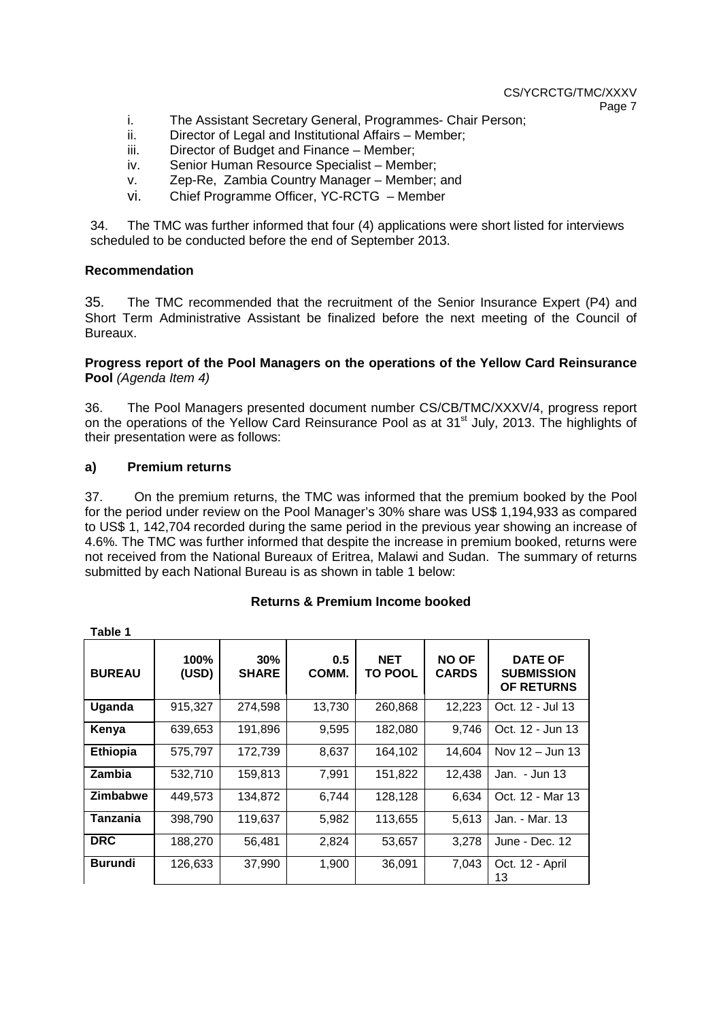#### CS/YCRCTG/TMC/XXXV Page 7

- i. The Assistant Secretary General, Programmes- Chair Person;
- ii. Director of Legal and Institutional Affairs Member;
- iii. Director of Budget and Finance Member;
- iv. Senior Human Resource Specialist Member;
- v. Zep-Re, Zambia Country Manager Member; and
- vi. Chief Programme Officer, YC-RCTG Member

34. The TMC was further informed that four (4) applications were short listed for interviews scheduled to be conducted before the end of September 2013.

### **Recommendation**

35. The TMC recommended that the recruitment of the Senior Insurance Expert (P4) and Short Term Administrative Assistant be finalized before the next meeting of the Council of Bureaux.

#### **Progress report of the Pool Managers on the operations of the Yellow Card Reinsurance Pool** (Agenda Item 4)

36. The Pool Managers presented document number CS/CB/TMC/XXXV/4, progress report on the operations of the Yellow Card Reinsurance Pool as at 31<sup>st</sup> July, 2013. The highlights of their presentation were as follows:

### **a) Premium returns**

37. On the premium returns, the TMC was informed that the premium booked by the Pool for the period under review on the Pool Manager's 30% share was US\$ 1,194,933 as compared to US\$ 1, 142,704 recorded during the same period in the previous year showing an increase of 4.6%. The TMC was further informed that despite the increase in premium booked, returns were not received from the National Bureaux of Eritrea, Malawi and Sudan. The summary of returns submitted by each National Bureau is as shown in table 1 below:

| Table 1         |               |                        |              |                       |                              |                                                          |
|-----------------|---------------|------------------------|--------------|-----------------------|------------------------------|----------------------------------------------------------|
| <b>BUREAU</b>   | 100%<br>(USD) | $30\%$<br><b>SHARE</b> | 0.5<br>COMM. | <b>NET</b><br>TO POOL | <b>NO OF</b><br><b>CARDS</b> | <b>DATE OF</b><br><b>SUBMISSION</b><br><b>OF RETURNS</b> |
| Uganda          | 915,327       | 274,598                | 13,730       | 260,868               | 12,223                       | Oct. 12 - Jul 13                                         |
| Kenya           | 639,653       | 191,896                | 9,595        | 182,080               | 9,746                        | Oct. 12 - Jun 13                                         |
| <b>Ethiopia</b> | 575,797       | 172,739                | 8,637        | 164,102               | 14,604                       | Nov $12 -$ Jun $13$                                      |
| Zambia          | 532,710       | 159,813                | 7,991        | 151,822               | 12,438                       | Jan. - Jun 13                                            |
| Zimbabwe        | 449,573       | 134,872                | 6,744        | 128,128               | 6,634                        | Oct. 12 - Mar 13                                         |
| <b>Tanzania</b> | 398,790       | 119,637                | 5,982        | 113,655               | 5,613                        | Jan. - Mar. 13                                           |
| <b>DRC</b>      | 188,270       | 56,481                 | 2,824        | 53,657                | 3.278                        | June - Dec. 12                                           |
| <b>Burundi</b>  | 126,633       | 37,990                 | 1,900        | 36,091                | 7,043                        | Oct. 12 - April<br>13                                    |

### **Returns & Premium Income booked**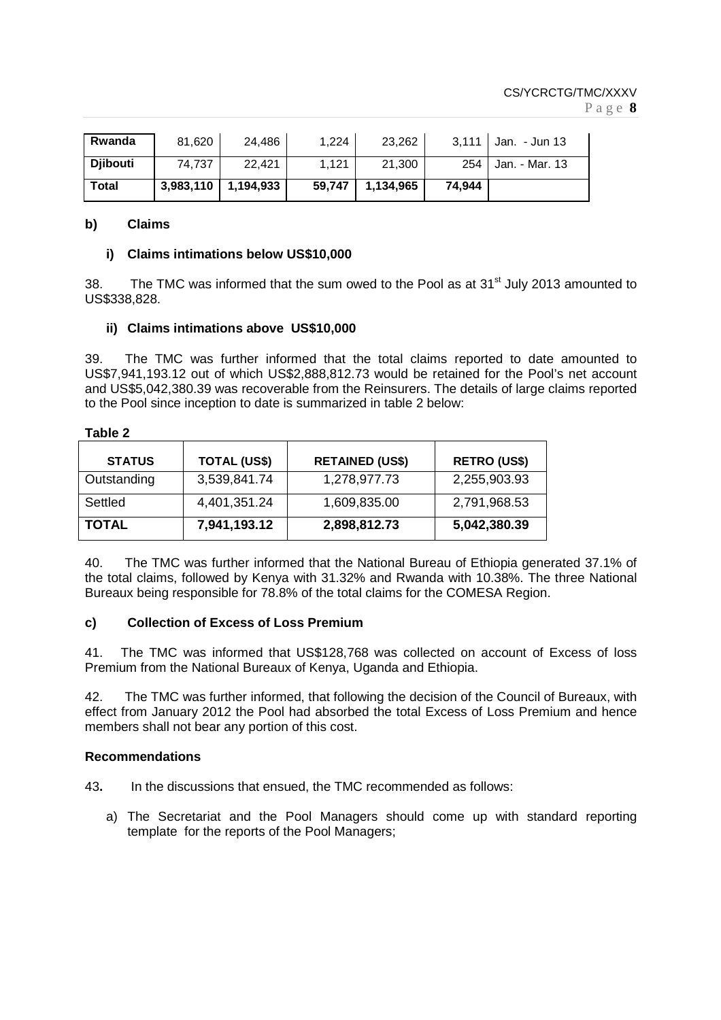| Rwanda       | 81.620    | 24.486    | 1.224  | 23.262    |        | $3,111$ Jan. - Jun 13 |
|--------------|-----------|-----------|--------|-----------|--------|-----------------------|
| Djibouti     | 74.737    | 22.421    | 1.121  | 21.300    | 254    | Jan. - Mar. 13        |
| <b>Total</b> | 3,983,110 | 1,194,933 | 59,747 | 1,134,965 | 74.944 |                       |

#### **b) Claims**

#### **i) Claims intimations below US\$10,000**

38. The TMC was informed that the sum owed to the Pool as at 31<sup>st</sup> July 2013 amounted to US\$338,828.

#### **ii) Claims intimations above US\$10,000**

39. The TMC was further informed that the total claims reported to date amounted to US\$7,941,193.12 out of which US\$2,888,812.73 would be retained for the Pool's net account and US\$5,042,380.39 was recoverable from the Reinsurers. The details of large claims reported to the Pool since inception to date is summarized in table 2 below:

#### **Table 2**

| <b>STATUS</b> | <b>TOTAL (US\$)</b> | <b>RETAINED (US\$)</b> | <b>RETRO (US\$)</b> |
|---------------|---------------------|------------------------|---------------------|
| Outstanding   | 3,539,841.74        | 1,278,977.73           | 2,255,903.93        |
| Settled       | 4,401,351.24        | 1,609,835.00           | 2,791,968.53        |
| <b>TOTAL</b>  | 7,941,193.12        | 2,898,812.73           | 5,042,380.39        |

40. The TMC was further informed that the National Bureau of Ethiopia generated 37.1% of the total claims, followed by Kenya with 31.32% and Rwanda with 10.38%. The three National Bureaux being responsible for 78.8% of the total claims for the COMESA Region.

#### **c) Collection of Excess of Loss Premium**

41. The TMC was informed that US\$128,768 was collected on account of Excess of loss Premium from the National Bureaux of Kenya, Uganda and Ethiopia.

42. The TMC was further informed, that following the decision of the Council of Bureaux, with effect from January 2012 the Pool had absorbed the total Excess of Loss Premium and hence members shall not bear any portion of this cost.

#### **Recommendations**

43**.** In the discussions that ensued, the TMC recommended as follows:

a) The Secretariat and the Pool Managers should come up with standard reporting template for the reports of the Pool Managers;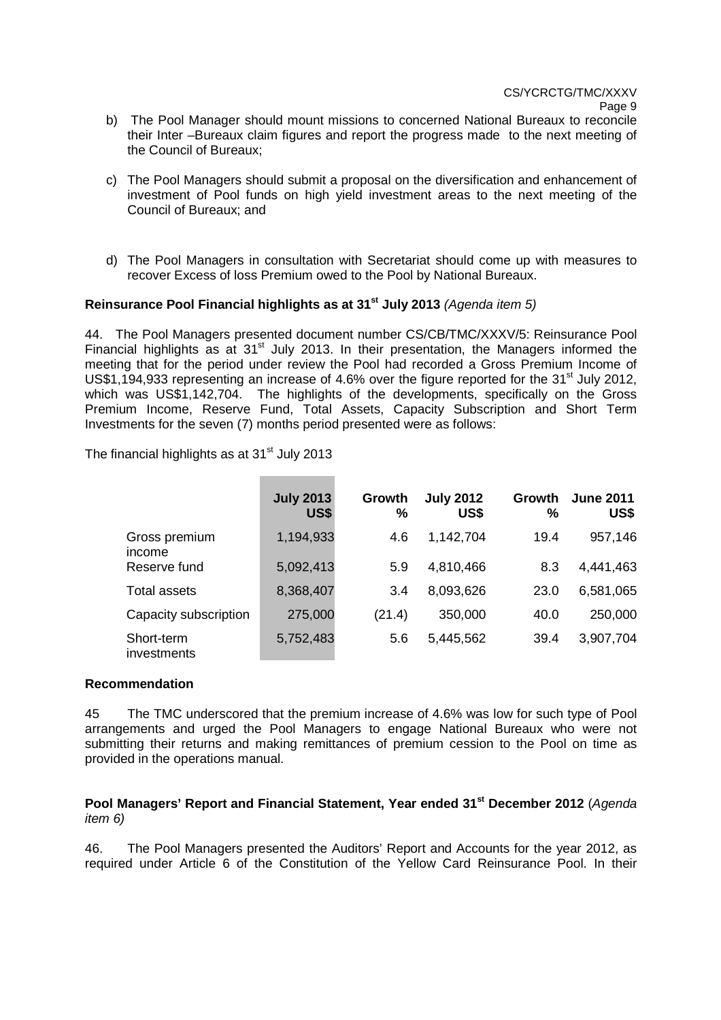- b) The Pool Manager should mount missions to concerned National Bureaux to reconcile their Inter –Bureaux claim figures and report the progress made to the next meeting of the Council of Bureaux;
- c) The Pool Managers should submit a proposal on the diversification and enhancement of investment of Pool funds on high yield investment areas to the next meeting of the Council of Bureaux; and
- d) The Pool Managers in consultation with Secretariat should come up with measures to recover Excess of loss Premium owed to the Pool by National Bureaux.

# **Reinsurance Pool Financial highlights as at 31st July 2013** (Agenda item 5)

44. The Pool Managers presented document number CS/CB/TMC/XXXV/5: Reinsurance Pool Financial highlights as at  $31<sup>st</sup>$  July 2013. In their presentation, the Managers informed the meeting that for the period under review the Pool had recorded a Gross Premium Income of US\$1,194,933 representing an increase of 4.6% over the figure reported for the 31<sup>st</sup> July 2012, which was US\$1,142,704. The highlights of the developments, specifically on the Gross Premium Income, Reserve Fund, Total Assets, Capacity Subscription and Short Term Investments for the seven (7) months period presented were as follows:

The financial highlights as at  $31<sup>st</sup>$  July 2013

|                           | <b>July 2013</b><br>US\$ | Growth<br>% | <b>July 2012</b><br>US\$ | Growth<br>$\%$ | <b>June 2011</b><br>US\$ |
|---------------------------|--------------------------|-------------|--------------------------|----------------|--------------------------|
| Gross premium<br>income   | 1,194,933                | 4.6         | 1,142,704                | 19.4           | 957,146                  |
| Reserve fund              | 5,092,413                | 5.9         | 4,810,466                | 8.3            | 4,441,463                |
| Total assets              | 8,368,407                | 3.4         | 8,093,626                | 23.0           | 6,581,065                |
| Capacity subscription     | 275,000                  | (21.4)      | 350,000                  | 40.0           | 250,000                  |
| Short-term<br>investments | 5,752,483                | 5.6         | 5,445,562                | 39.4           | 3,907,704                |

### **Recommendation**

45 The TMC underscored that the premium increase of 4.6% was low for such type of Pool arrangements and urged the Pool Managers to engage National Bureaux who were not submitting their returns and making remittances of premium cession to the Pool on time as provided in the operations manual.

# **Pool Managers' Report and Financial Statement, Year ended 31st December 2012** (Agenda item 6)

46. The Pool Managers presented the Auditors' Report and Accounts for the year 2012, as required under Article 6 of the Constitution of the Yellow Card Reinsurance Pool. In their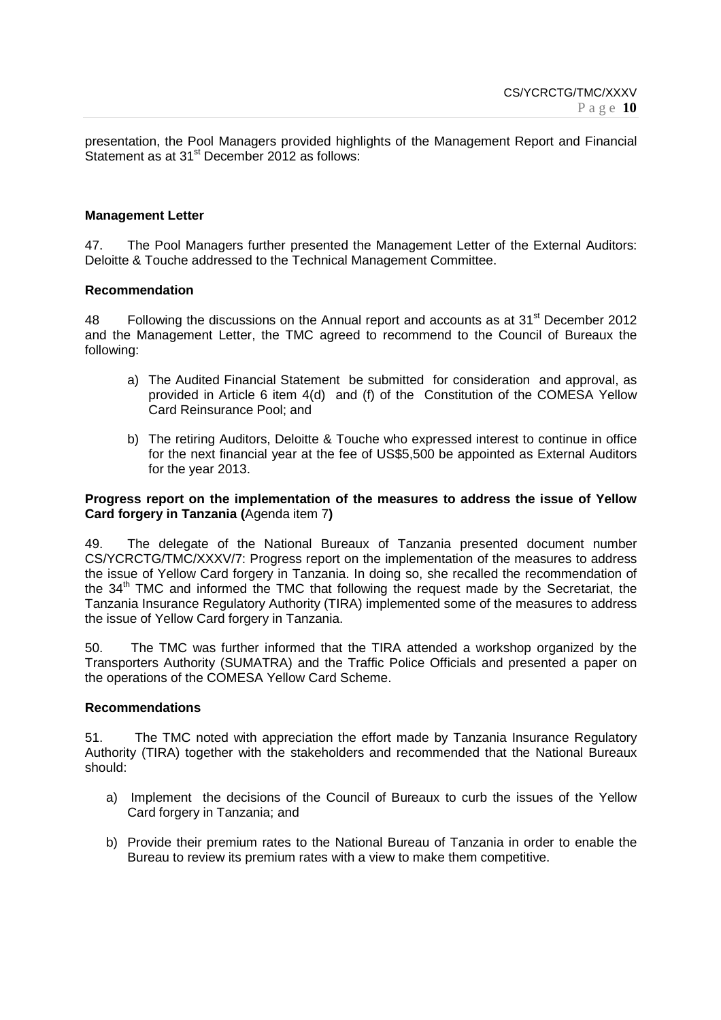presentation, the Pool Managers provided highlights of the Management Report and Financial Statement as at 31<sup>st</sup> December 2012 as follows:

# **Management Letter**

47. The Pool Managers further presented the Management Letter of the External Auditors: Deloitte & Touche addressed to the Technical Management Committee.

### **Recommendation**

48 Following the discussions on the Annual report and accounts as at  $31<sup>st</sup>$  December 2012 and the Management Letter, the TMC agreed to recommend to the Council of Bureaux the following:

- a) The Audited Financial Statement be submitted for consideration and approval, as provided in Article 6 item 4(d) and (f) of the Constitution of the COMESA Yellow Card Reinsurance Pool; and
- b) The retiring Auditors, Deloitte & Touche who expressed interest to continue in office for the next financial year at the fee of US\$5,500 be appointed as External Auditors for the year 2013.

# **Progress report on the implementation of the measures to address the issue of Yellow Card forgery in Tanzania (**Agenda item 7**)**

49. The delegate of the National Bureaux of Tanzania presented document number CS/YCRCTG/TMC/XXXV/7: Progress report on the implementation of the measures to address the issue of Yellow Card forgery in Tanzania. In doing so, she recalled the recommendation of the  $34<sup>th</sup>$  TMC and informed the TMC that following the request made by the Secretariat, the Tanzania Insurance Regulatory Authority (TIRA) implemented some of the measures to address the issue of Yellow Card forgery in Tanzania.

50. The TMC was further informed that the TIRA attended a workshop organized by the Transporters Authority (SUMATRA) and the Traffic Police Officials and presented a paper on the operations of the COMESA Yellow Card Scheme.

### **Recommendations**

51. The TMC noted with appreciation the effort made by Tanzania Insurance Regulatory Authority (TIRA) together with the stakeholders and recommended that the National Bureaux should:

- a) Implement the decisions of the Council of Bureaux to curb the issues of the Yellow Card forgery in Tanzania; and
- b) Provide their premium rates to the National Bureau of Tanzania in order to enable the Bureau to review its premium rates with a view to make them competitive.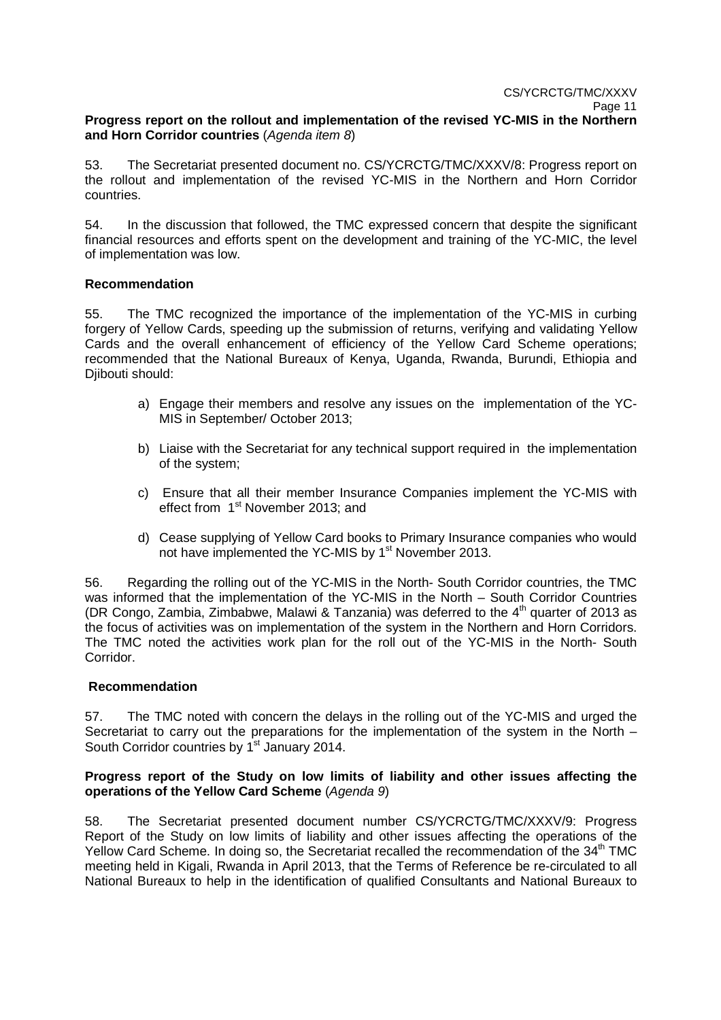# **Progress report on the rollout and implementation of the revised YC-MIS in the Northern and Horn Corridor countries** (Agenda item 8)

53. The Secretariat presented document no. CS/YCRCTG/TMC/XXXV/8: Progress report on the rollout and implementation of the revised YC-MIS in the Northern and Horn Corridor countries.

54. In the discussion that followed, the TMC expressed concern that despite the significant financial resources and efforts spent on the development and training of the YC-MIC, the level of implementation was low.

### **Recommendation**

55. The TMC recognized the importance of the implementation of the YC-MIS in curbing forgery of Yellow Cards, speeding up the submission of returns, verifying and validating Yellow Cards and the overall enhancement of efficiency of the Yellow Card Scheme operations; recommended that the National Bureaux of Kenya, Uganda, Rwanda, Burundi, Ethiopia and Djibouti should:

- a) Engage their members and resolve any issues on the implementation of the YC-MIS in September/ October 2013;
- b) Liaise with the Secretariat for any technical support required in the implementation of the system;
- c) Ensure that all their member Insurance Companies implement the YC-MIS with effect from 1<sup>st</sup> November 2013; and
- d) Cease supplying of Yellow Card books to Primary Insurance companies who would not have implemented the YC-MIS by 1<sup>st</sup> November 2013.

56. Regarding the rolling out of the YC-MIS in the North- South Corridor countries, the TMC was informed that the implementation of the YC-MIS in the North – South Corridor Countries (DR Congo, Zambia, Zimbabwe, Malawi & Tanzania) was deferred to the  $4<sup>th</sup>$  quarter of 2013 as the focus of activities was on implementation of the system in the Northern and Horn Corridors. The TMC noted the activities work plan for the roll out of the YC-MIS in the North- South Corridor.

### **Recommendation**

57. The TMC noted with concern the delays in the rolling out of the YC-MIS and urged the Secretariat to carry out the preparations for the implementation of the system in the North – South Corridor countries by 1<sup>st</sup> January 2014.

### **Progress report of the Study on low limits of liability and other issues affecting the operations of the Yellow Card Scheme** (Agenda 9)

58. The Secretariat presented document number CS/YCRCTG/TMC/XXXV/9: Progress Report of the Study on low limits of liability and other issues affecting the operations of the Yellow Card Scheme. In doing so, the Secretariat recalled the recommendation of the 34<sup>th</sup> TMC meeting held in Kigali, Rwanda in April 2013, that the Terms of Reference be re-circulated to all National Bureaux to help in the identification of qualified Consultants and National Bureaux to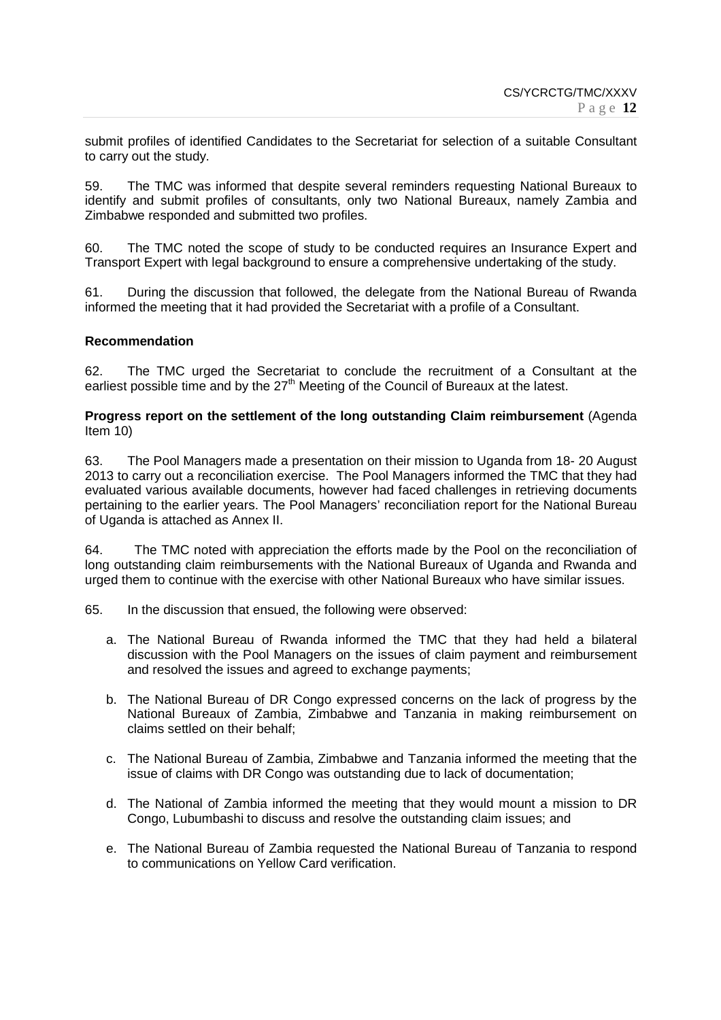submit profiles of identified Candidates to the Secretariat for selection of a suitable Consultant to carry out the study.

59. The TMC was informed that despite several reminders requesting National Bureaux to identify and submit profiles of consultants, only two National Bureaux, namely Zambia and Zimbabwe responded and submitted two profiles.

60. The TMC noted the scope of study to be conducted requires an Insurance Expert and Transport Expert with legal background to ensure a comprehensive undertaking of the study.

61. During the discussion that followed, the delegate from the National Bureau of Rwanda informed the meeting that it had provided the Secretariat with a profile of a Consultant.

# **Recommendation**

62. The TMC urged the Secretariat to conclude the recruitment of a Consultant at the earliest possible time and by the  $27<sup>th</sup>$  Meeting of the Council of Bureaux at the latest.

#### **Progress report on the settlement of the long outstanding Claim reimbursement** (Agenda Item 10)

63. The Pool Managers made a presentation on their mission to Uganda from 18- 20 August 2013 to carry out a reconciliation exercise. The Pool Managers informed the TMC that they had evaluated various available documents, however had faced challenges in retrieving documents pertaining to the earlier years. The Pool Managers' reconciliation report for the National Bureau of Uganda is attached as Annex II.

64. The TMC noted with appreciation the efforts made by the Pool on the reconciliation of long outstanding claim reimbursements with the National Bureaux of Uganda and Rwanda and urged them to continue with the exercise with other National Bureaux who have similar issues.

65. In the discussion that ensued, the following were observed:

- a. The National Bureau of Rwanda informed the TMC that they had held a bilateral discussion with the Pool Managers on the issues of claim payment and reimbursement and resolved the issues and agreed to exchange payments;
- b. The National Bureau of DR Congo expressed concerns on the lack of progress by the National Bureaux of Zambia, Zimbabwe and Tanzania in making reimbursement on claims settled on their behalf;
- c. The National Bureau of Zambia, Zimbabwe and Tanzania informed the meeting that the issue of claims with DR Congo was outstanding due to lack of documentation;
- d. The National of Zambia informed the meeting that they would mount a mission to DR Congo, Lubumbashi to discuss and resolve the outstanding claim issues; and
- e. The National Bureau of Zambia requested the National Bureau of Tanzania to respond to communications on Yellow Card verification.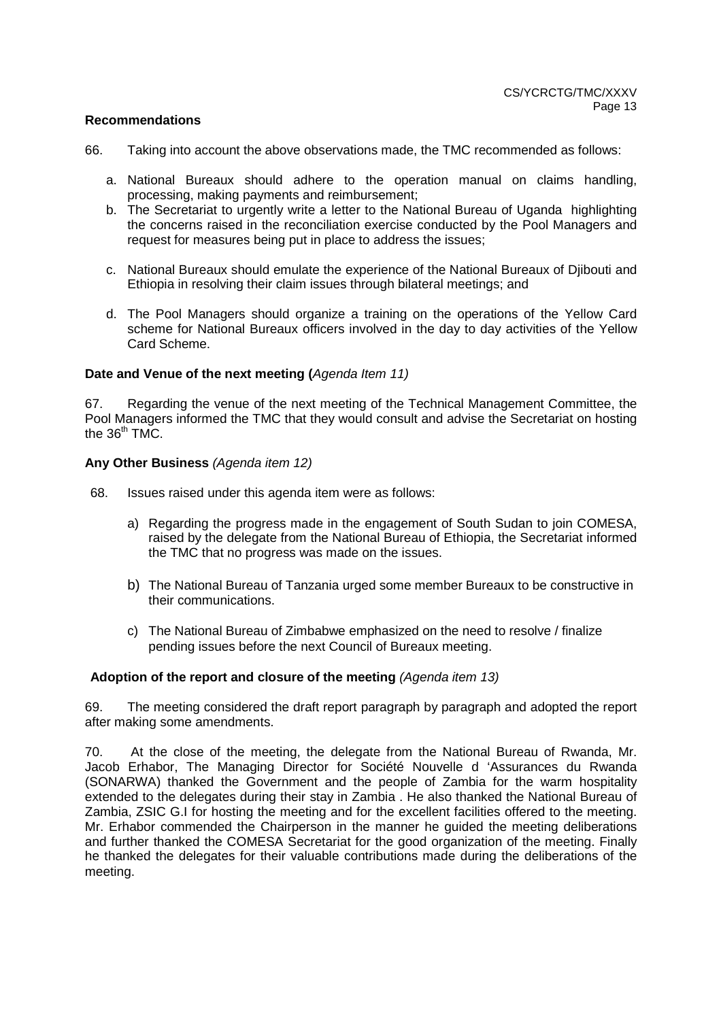#### **Recommendations**

- 66. Taking into account the above observations made, the TMC recommended as follows:
	- a. National Bureaux should adhere to the operation manual on claims handling, processing, making payments and reimbursement;
	- b. The Secretariat to urgently write a letter to the National Bureau of Uganda highlighting the concerns raised in the reconciliation exercise conducted by the Pool Managers and request for measures being put in place to address the issues;
	- c. National Bureaux should emulate the experience of the National Bureaux of Djibouti and Ethiopia in resolving their claim issues through bilateral meetings; and
	- d. The Pool Managers should organize a training on the operations of the Yellow Card scheme for National Bureaux officers involved in the day to day activities of the Yellow Card Scheme.

#### Date and Venue of the next meeting (Agenda Item 11)

67. Regarding the venue of the next meeting of the Technical Management Committee, the Pool Managers informed the TMC that they would consult and advise the Secretariat on hosting the  $36<sup>th</sup>$  TMC.

#### **Any Other Business** (Agenda item 12)

- 68. Issues raised under this agenda item were as follows:
	- a) Regarding the progress made in the engagement of South Sudan to join COMESA, raised by the delegate from the National Bureau of Ethiopia, the Secretariat informed the TMC that no progress was made on the issues.
	- b) The National Bureau of Tanzania urged some member Bureaux to be constructive in their communications.
	- c) The National Bureau of Zimbabwe emphasized on the need to resolve / finalize pending issues before the next Council of Bureaux meeting.

### **Adoption of the report and closure of the meeting** (Agenda item 13)

69. The meeting considered the draft report paragraph by paragraph and adopted the report after making some amendments.

70. At the close of the meeting, the delegate from the National Bureau of Rwanda, Mr. Jacob Erhabor, The Managing Director for Société Nouvelle d 'Assurances du Rwanda (SONARWA) thanked the Government and the people of Zambia for the warm hospitality extended to the delegates during their stay in Zambia . He also thanked the National Bureau of Zambia, ZSIC G.I for hosting the meeting and for the excellent facilities offered to the meeting. Mr. Erhabor commended the Chairperson in the manner he guided the meeting deliberations and further thanked the COMESA Secretariat for the good organization of the meeting. Finally he thanked the delegates for their valuable contributions made during the deliberations of the meeting.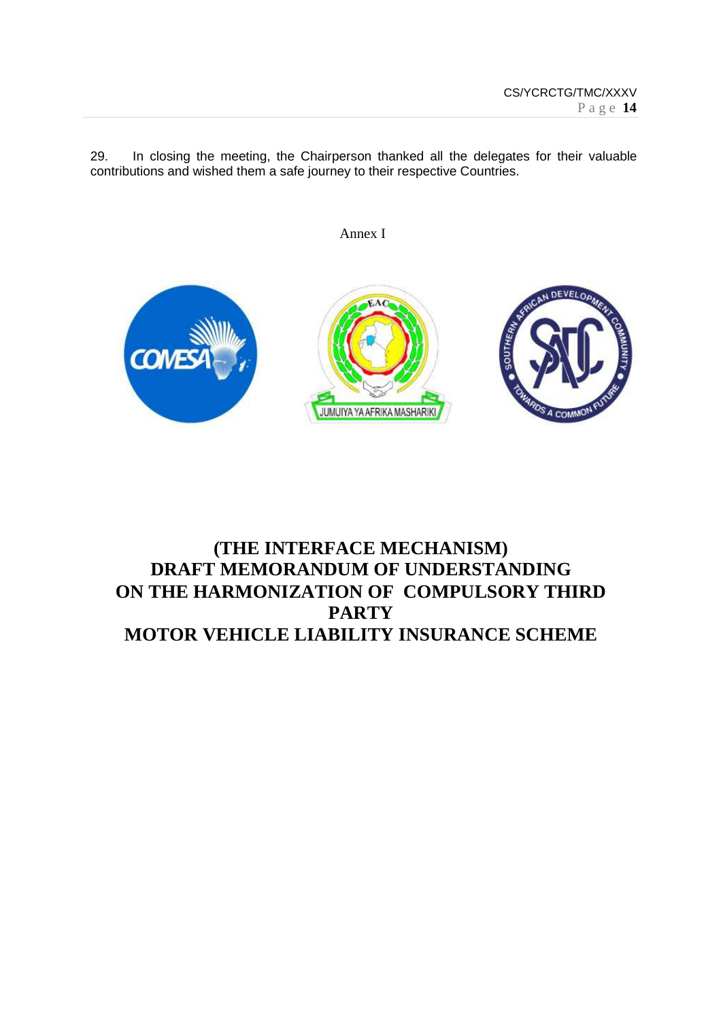29. In closing the meeting, the Chairperson thanked all the delegates for their valuable contributions and wished them a safe journey to their respective Countries.

Annex I



# **(THE INTERFACE MECHANISM) DRAFT MEMORANDUM OF UNDERSTANDING ON THE HARMONIZATION OF COMPULSORY THIRD PARTY MOTOR VEHICLE LIABILITY INSURANCE SCHEME**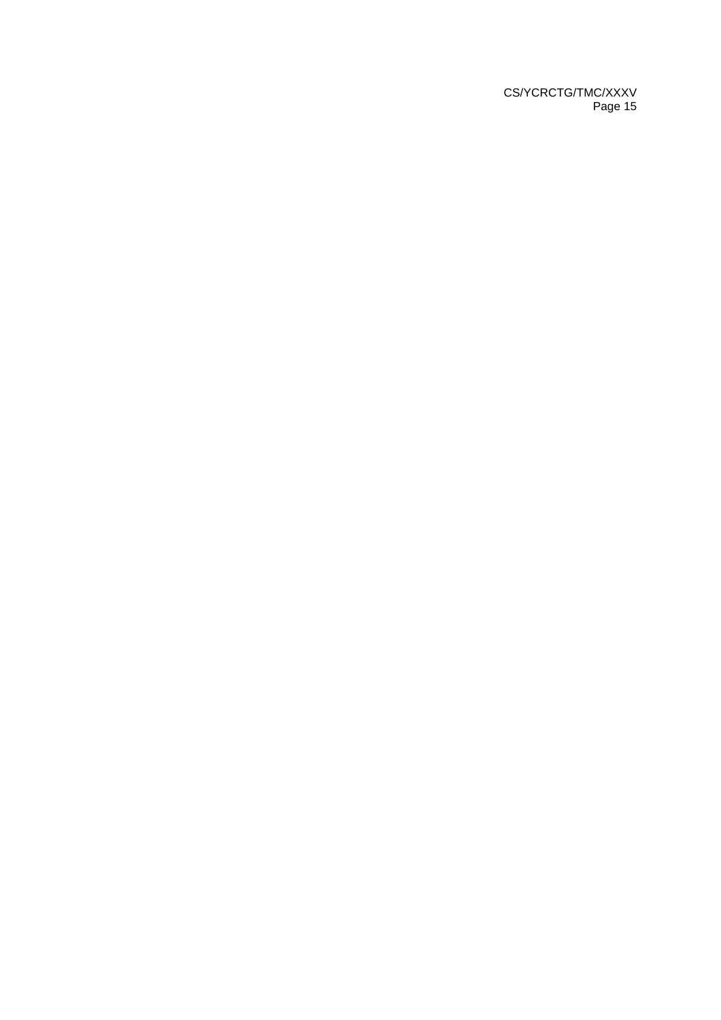CS/YCRCTG/TMC/XXXV Page 15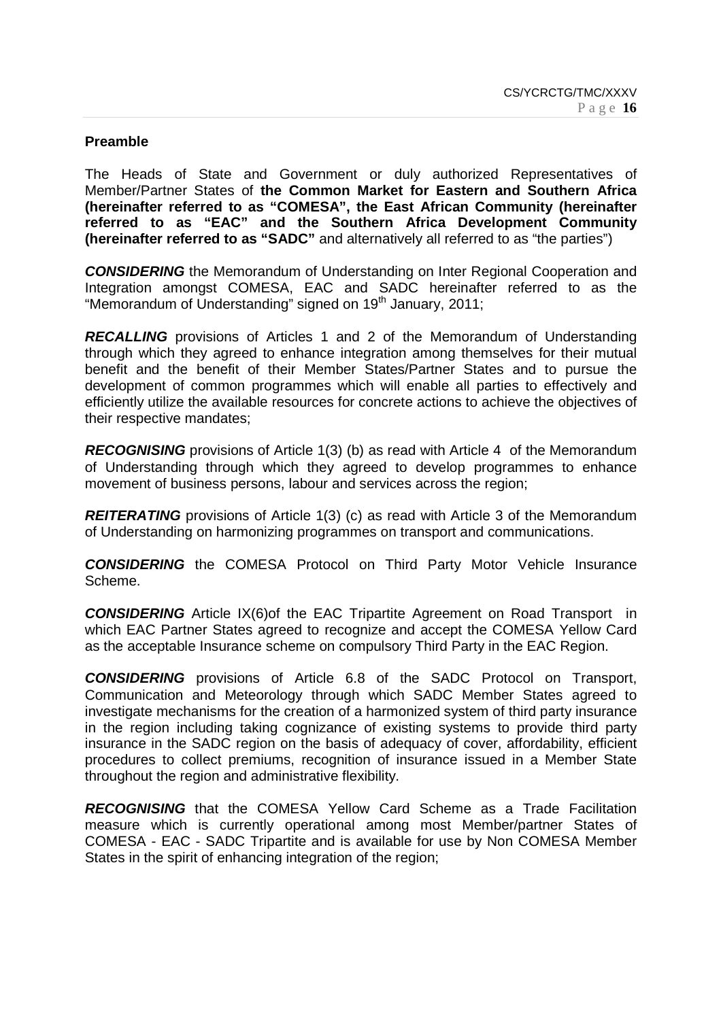# **Preamble**

The Heads of State and Government or duly authorized Representatives of Member/Partner States of **the Common Market for Eastern and Southern Africa (hereinafter referred to as "COMESA", the East African Community (hereinafter referred to as "EAC" and the Southern Africa Development Community (hereinafter referred to as "SADC"** and alternatively all referred to as "the parties")

**CONSIDERING** the Memorandum of Understanding on Inter Regional Cooperation and Integration amongst COMESA, EAC and SADC hereinafter referred to as the "Memorandum of Understanding" signed on 19<sup>th</sup> January, 2011;

**RECALLING** provisions of Articles 1 and 2 of the Memorandum of Understanding through which they agreed to enhance integration among themselves for their mutual benefit and the benefit of their Member States/Partner States and to pursue the development of common programmes which will enable all parties to effectively and efficiently utilize the available resources for concrete actions to achieve the objectives of their respective mandates;

**RECOGNISING** provisions of Article 1(3) (b) as read with Article 4 of the Memorandum of Understanding through which they agreed to develop programmes to enhance movement of business persons, labour and services across the region;

**REITERATING** provisions of Article 1(3) (c) as read with Article 3 of the Memorandum of Understanding on harmonizing programmes on transport and communications.

**CONSIDERING** the COMESA Protocol on Third Party Motor Vehicle Insurance Scheme.

**CONSIDERING** Article IX(6) of the EAC Tripartite Agreement on Road Transport in which EAC Partner States agreed to recognize and accept the COMESA Yellow Card as the acceptable Insurance scheme on compulsory Third Party in the EAC Region.

**CONSIDERING** provisions of Article 6.8 of the SADC Protocol on Transport, Communication and Meteorology through which SADC Member States agreed to investigate mechanisms for the creation of a harmonized system of third party insurance in the region including taking cognizance of existing systems to provide third party insurance in the SADC region on the basis of adequacy of cover, affordability, efficient procedures to collect premiums, recognition of insurance issued in a Member State throughout the region and administrative flexibility.

**RECOGNISING** that the COMESA Yellow Card Scheme as a Trade Facilitation measure which is currently operational among most Member/partner States of COMESA - EAC - SADC Tripartite and is available for use by Non COMESA Member States in the spirit of enhancing integration of the region;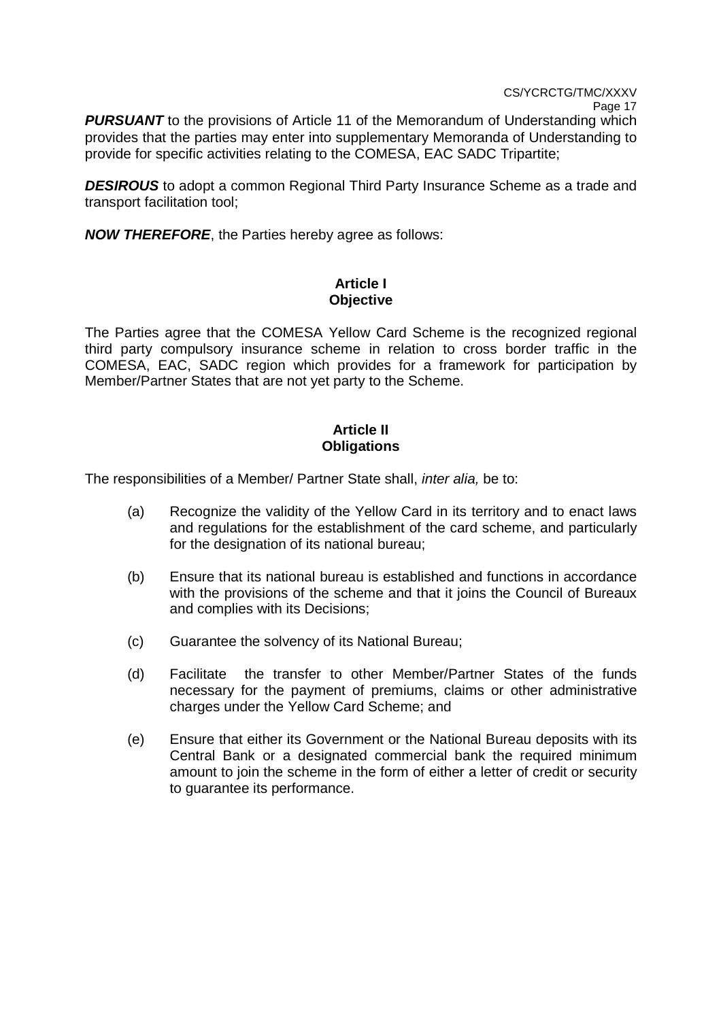Page 17 **PURSUANT** to the provisions of Article 11 of the Memorandum of Understanding which provides that the parties may enter into supplementary Memoranda of Understanding to provide for specific activities relating to the COMESA, EAC SADC Tripartite;

CS/YCRCTG/TMC/XXXV

**DESIROUS** to adopt a common Regional Third Party Insurance Scheme as a trade and transport facilitation tool;

**NOW THEREFORE**, the Parties hereby agree as follows:

# **Article I Objective**

The Parties agree that the COMESA Yellow Card Scheme is the recognized regional third party compulsory insurance scheme in relation to cross border traffic in the COMESA, EAC, SADC region which provides for a framework for participation by Member/Partner States that are not yet party to the Scheme.

# **Article II Obligations**

The responsibilities of a Member/ Partner State shall, inter alia, be to:

- (a) Recognize the validity of the Yellow Card in its territory and to enact laws and regulations for the establishment of the card scheme, and particularly for the designation of its national bureau;
- (b) Ensure that its national bureau is established and functions in accordance with the provisions of the scheme and that it joins the Council of Bureaux and complies with its Decisions;
- (c) Guarantee the solvency of its National Bureau;
- (d) Facilitate the transfer to other Member/Partner States of the funds necessary for the payment of premiums, claims or other administrative charges under the Yellow Card Scheme; and
- (e) Ensure that either its Government or the National Bureau deposits with its Central Bank or a designated commercial bank the required minimum amount to join the scheme in the form of either a letter of credit or security to guarantee its performance.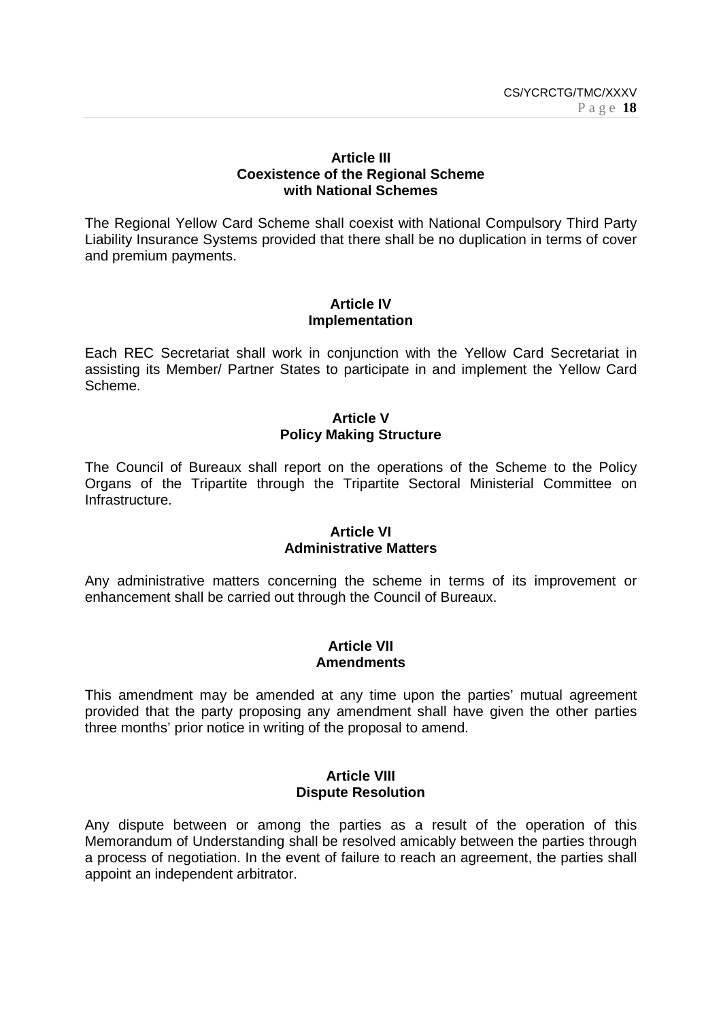# **Article III Coexistence of the Regional Scheme with National Schemes**

The Regional Yellow Card Scheme shall coexist with National Compulsory Third Party Liability Insurance Systems provided that there shall be no duplication in terms of cover and premium payments.

# **Article IV Implementation**

Each REC Secretariat shall work in conjunction with the Yellow Card Secretariat in assisting its Member/ Partner States to participate in and implement the Yellow Card Scheme.

# **Article V Policy Making Structure**

The Council of Bureaux shall report on the operations of the Scheme to the Policy Organs of the Tripartite through the Tripartite Sectoral Ministerial Committee on Infrastructure.

# **Article VI Administrative Matters**

Any administrative matters concerning the scheme in terms of its improvement or enhancement shall be carried out through the Council of Bureaux.

# **Article VII Amendments**

This amendment may be amended at any time upon the parties' mutual agreement provided that the party proposing any amendment shall have given the other parties three months' prior notice in writing of the proposal to amend.

# **Article VIII Dispute Resolution**

Any dispute between or among the parties as a result of the operation of this Memorandum of Understanding shall be resolved amicably between the parties through a process of negotiation. In the event of failure to reach an agreement, the parties shall appoint an independent arbitrator.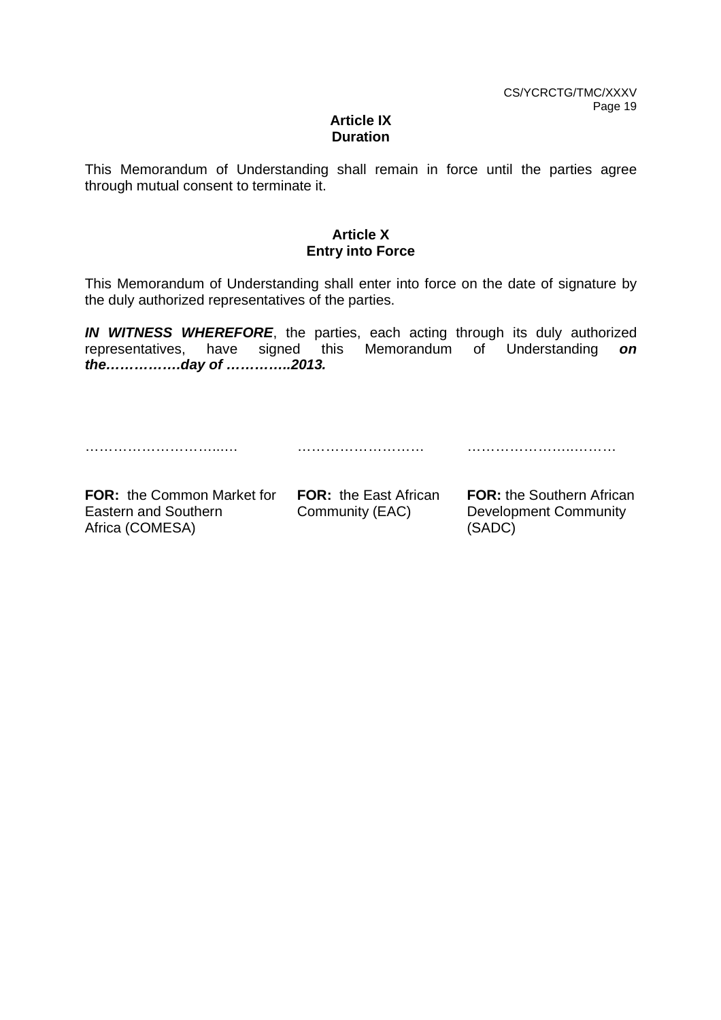# **Article IX Duration**

This Memorandum of Understanding shall remain in force until the parties agree through mutual consent to terminate it.

# **Article X Entry into Force**

This Memorandum of Understanding shall enter into force on the date of signature by the duly authorized representatives of the parties.

**IN WITNESS WHEREFORE**, the parties, each acting through its duly authorized representatives, have signed this Memorandum of Understanding **on the…………….day of …………..2013.**

………………………...… ……………………… …………………..………

**FOR:** the Common Market for **FOR:** the East African **FOR:** the Southern African Eastern and Southern Community (EAC) Development Community Africa (COMESA) (SADC)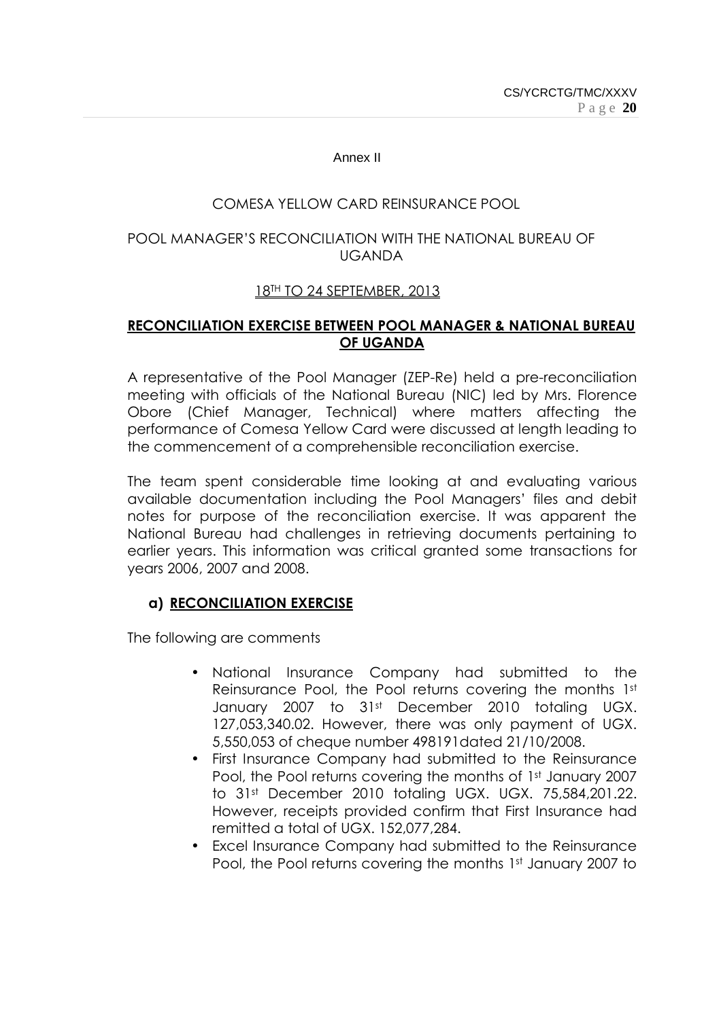# Annex II

# COMESA YELLOW CARD REINSURANCE POOL

# POOL MANAGER'S RECONCILIATION WITH THE NATIONAL BUREAU OF UGANDA

# 18TH TO 24 SEPTEMBER, 2013

# **RECONCILIATION EXERCISE BETWEEN POOL MANAGER & NATIONAL BUREAU OF UGANDA**

A representative of the Pool Manager (ZEP-Re) held a pre-reconciliation meeting with officials of the National Bureau (NIC) led by Mrs. Florence Obore (Chief Manager, Technical) where matters affecting the performance of Comesa Yellow Card were discussed at length leading to the commencement of a comprehensible reconciliation exercise.

The team spent considerable time looking at and evaluating various available documentation including the Pool Managers' files and debit notes for purpose of the reconciliation exercise. It was apparent the National Bureau had challenges in retrieving documents pertaining to earlier years. This information was critical granted some transactions for years 2006, 2007 and 2008.

# **a) RECONCILIATION EXERCISE**

The following are comments

- National Insurance Company had submitted to the Reinsurance Pool, the Pool returns covering the months 1st January 2007 to 31st December 2010 totaling UGX. 127,053,340.02. However, there was only payment of UGX. 5,550,053 of cheque number 498191dated 21/10/2008.
- First Insurance Company had submitted to the Reinsurance Pool, the Pool returns covering the months of 1<sup>st</sup> January 2007 to 31st December 2010 totaling UGX. UGX. 75,584,201.22. However, receipts provided confirm that First Insurance had remitted a total of UGX. 152,077,284.
- Excel Insurance Company had submitted to the Reinsurance Pool, the Pool returns covering the months 1st January 2007 to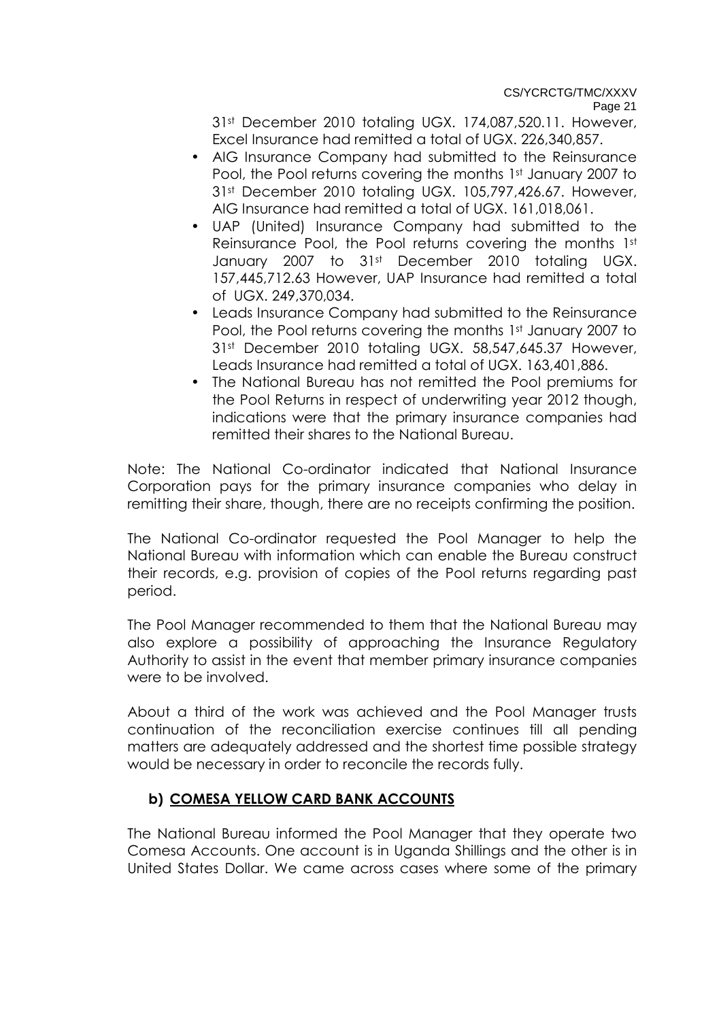31st December 2010 totaling UGX. 174,087,520.11. However, Excel Insurance had remitted a total of UGX. 226,340,857.

- AIG Insurance Company had submitted to the Reinsurance Pool, the Pool returns covering the months 1st January 2007 to 31st December 2010 totaling UGX. 105,797,426.67. However, AIG Insurance had remitted a total of UGX. 161,018,061.
- UAP (United) Insurance Company had submitted to the Reinsurance Pool, the Pool returns covering the months 1st January 2007 to 31st December 2010 totaling UGX. 157,445,712.63 However, UAP Insurance had remitted a total of UGX. 249,370,034.
- Leads Insurance Company had submitted to the Reinsurance Pool, the Pool returns covering the months 1st January 2007 to 31st December 2010 totaling UGX. 58,547,645.37 However, Leads Insurance had remitted a total of UGX. 163,401,886.
- The National Bureau has not remitted the Pool premiums for the Pool Returns in respect of underwriting year 2012 though, indications were that the primary insurance companies had remitted their shares to the National Bureau.

Note: The National Co-ordinator indicated that National Insurance Corporation pays for the primary insurance companies who delay in remitting their share, though, there are no receipts confirming the position.

The National Co-ordinator requested the Pool Manager to help the National Bureau with information which can enable the Bureau construct their records, e.g. provision of copies of the Pool returns regarding past period.

The Pool Manager recommended to them that the National Bureau may also explore a possibility of approaching the Insurance Regulatory Authority to assist in the event that member primary insurance companies were to be involved.

About a third of the work was achieved and the Pool Manager trusts continuation of the reconciliation exercise continues till all pending matters are adequately addressed and the shortest time possible strategy would be necessary in order to reconcile the records fully.

# **b) COMESA YELLOW CARD BANK ACCOUNTS**

The National Bureau informed the Pool Manager that they operate two Comesa Accounts. One account is in Uganda Shillings and the other is in United States Dollar. We came across cases where some of the primary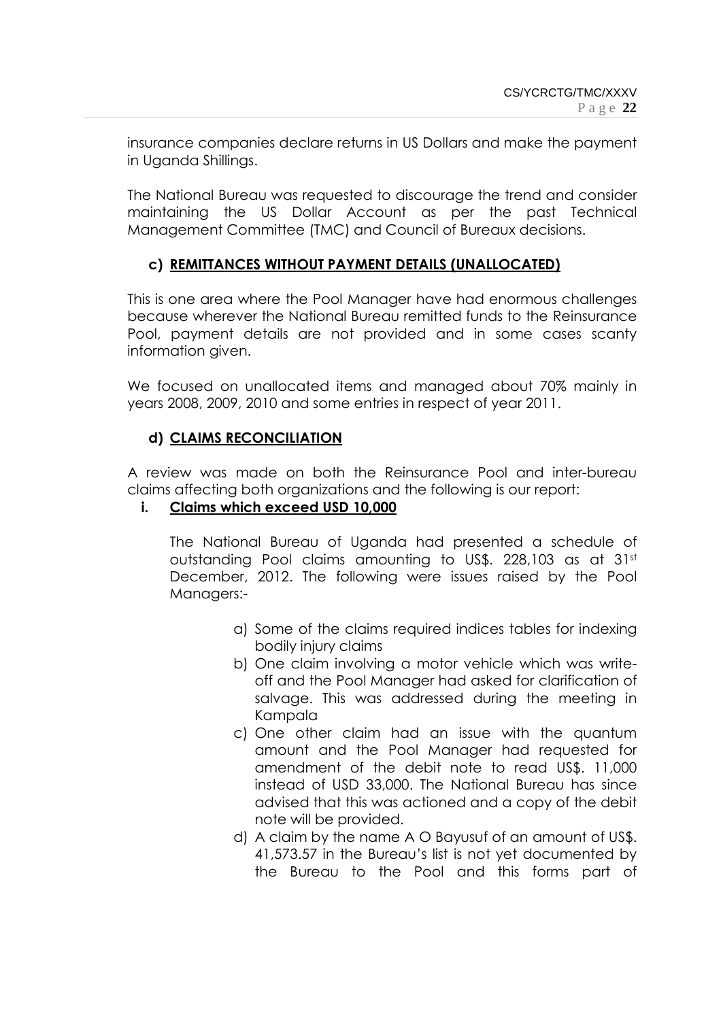insurance companies declare returns in US Dollars and make the payment in Uganda Shillings.

The National Bureau was requested to discourage the trend and consider maintaining the US Dollar Account as per the past Technical Management Committee (TMC) and Council of Bureaux decisions.

# **c) REMITTANCES WITHOUT PAYMENT DETAILS (UNALLOCATED)**

This is one area where the Pool Manager have had enormous challenges because wherever the National Bureau remitted funds to the Reinsurance Pool, payment details are not provided and in some cases scanty information given.

We focused on unallocated items and managed about 70% mainly in years 2008, 2009, 2010 and some entries in respect of year 2011.

# **d) CLAIMS RECONCILIATION**

A review was made on both the Reinsurance Pool and inter-bureau claims affecting both organizations and the following is our report:

# **i. Claims which exceed USD 10,000**

The National Bureau of Uganda had presented a schedule of outstanding Pool claims amounting to US\$. 228,103 as at 31st December, 2012. The following were issues raised by the Pool Managers:-

- a) Some of the claims required indices tables for indexing bodily injury claims
- b) One claim involving a motor vehicle which was writeoff and the Pool Manager had asked for clarification of salvage. This was addressed during the meeting in Kampala
- c) One other claim had an issue with the quantum amount and the Pool Manager had requested for amendment of the debit note to read US\$. 11,000 instead of USD 33,000. The National Bureau has since advised that this was actioned and a copy of the debit note will be provided.
- d) A claim by the name A O Bayusuf of an amount of US\$. 41,573.57 in the Bureau's list is not yet documented by the Bureau to the Pool and this forms part of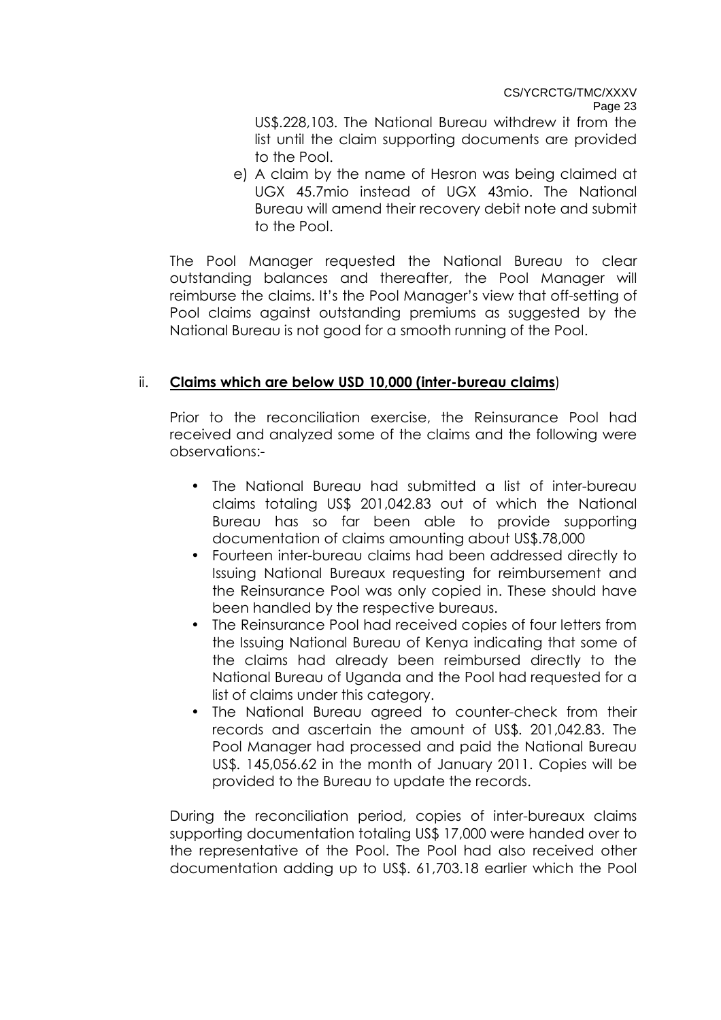CS/YCRCTG/TMC/XXXV Page 23

US\$.228,103. The National Bureau withdrew it from the list until the claim supporting documents are provided to the Pool.

e) A claim by the name of Hesron was being claimed at UGX 45.7mio instead of UGX 43mio. The National Bureau will amend their recovery debit note and submit to the Pool.

The Pool Manager requested the National Bureau to clear outstanding balances and thereafter, the Pool Manager will reimburse the claims. It's the Pool Manager's view that off-setting of Pool claims against outstanding premiums as suggested by the National Bureau is not good for a smooth running of the Pool.

# ii. **Claims which are below USD 10,000 (inter-bureau claims**)

Prior to the reconciliation exercise, the Reinsurance Pool had received and analyzed some of the claims and the following were observations:-

- The National Bureau had submitted a list of inter-bureau claims totaling US\$ 201,042.83 out of which the National Bureau has so far been able to provide supporting documentation of claims amounting about US\$.78,000
- Fourteen inter-bureau claims had been addressed directly to Issuing National Bureaux requesting for reimbursement and the Reinsurance Pool was only copied in. These should have been handled by the respective bureaus.
- The Reinsurance Pool had received copies of four letters from the Issuing National Bureau of Kenya indicating that some of the claims had already been reimbursed directly to the National Bureau of Uganda and the Pool had requested for a list of claims under this category.
- The National Bureau agreed to counter-check from their records and ascertain the amount of US\$. 201,042.83. The Pool Manager had processed and paid the National Bureau US\$. 145,056.62 in the month of January 2011. Copies will be provided to the Bureau to update the records.

During the reconciliation period, copies of inter-bureaux claims supporting documentation totaling US\$ 17,000 were handed over to the representative of the Pool. The Pool had also received other documentation adding up to US\$. 61,703.18 earlier which the Pool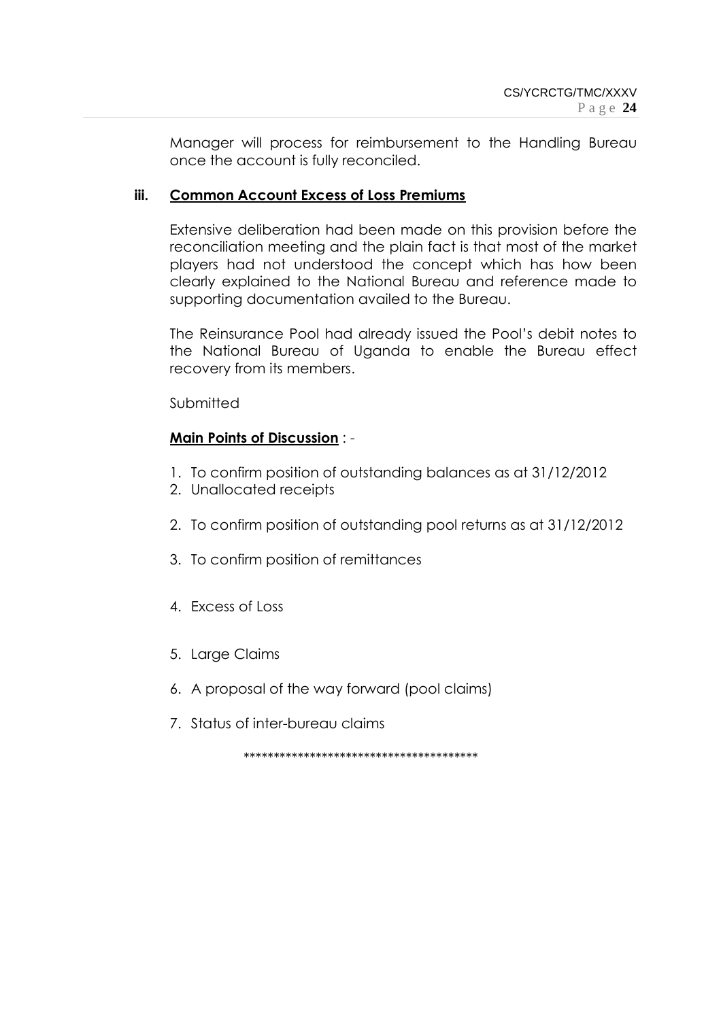Manager will process for reimbursement to the Handling Bureau once the account is fully reconciled.

# **iii. Common Account Excess of Loss Premiums**

Extensive deliberation had been made on this provision before the reconciliation meeting and the plain fact is that most of the market players had not understood the concept which has how been clearly explained to the National Bureau and reference made to supporting documentation availed to the Bureau.

The Reinsurance Pool had already issued the Pool's debit notes to the National Bureau of Uganda to enable the Bureau effect recovery from its members.

Submitted

# **Main Points of Discussion** : -

- 1. To confirm position of outstanding balances as at 31/12/2012
- 2. Unallocated receipts
- 2. To confirm position of outstanding pool returns as at 31/12/2012
- 3. To confirm position of remittances
- 4. Excess of Loss
- 5. Large Claims
- 6. A proposal of the way forward (pool claims)
- 7. Status of inter-bureau claims

\*\*\*\*\*\*\*\*\*\*\*\*\*\*\*\*\*\*\*\*\*\*\*\*\*\*\*\*\*\*\*\*\*\*\*\*\*\*\*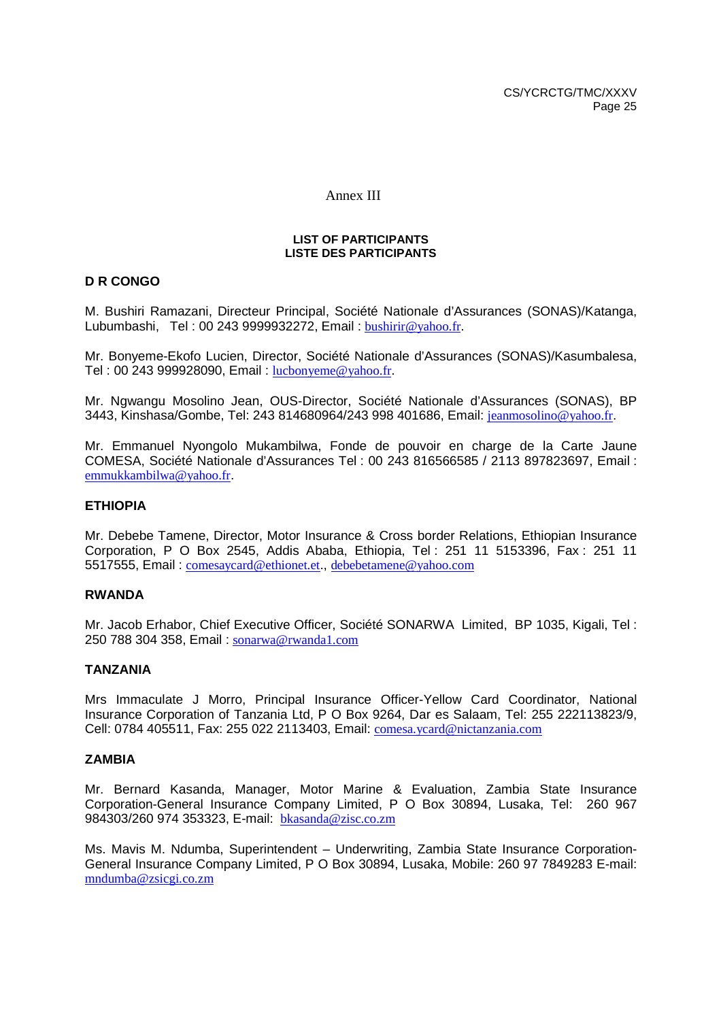# Annex III

#### **LIST OF PARTICIPANTS LISTE DES PARTICIPANTS**

#### **D R CONGO**

M. Bushiri Ramazani, Directeur Principal, Société Nationale d'Assurances (SONAS)/Katanga, Lubumbashi, Tel : 00 243 9999932272, Email : bushirir@yahoo.fr.

Mr. Bonyeme-Ekofo Lucien, Director, Société Nationale d'Assurances (SONAS)/Kasumbalesa, Tel : 00 243 999928090, Email : lucbonyeme@yahoo.fr.

Mr. Ngwangu Mosolino Jean, OUS-Director, Société Nationale d'Assurances (SONAS), BP 3443, Kinshasa/Gombe, Tel: 243 814680964/243 998 401686, Email: jeanmosolino@yahoo.fr.

Mr. Emmanuel Nyongolo Mukambilwa, Fonde de pouvoir en charge de la Carte Jaune COMESA, Société Nationale d'Assurances Tel : 00 243 816566585 / 2113 897823697, Email : emmukkambilwa@yahoo.fr.

#### **ETHIOPIA**

Mr. Debebe Tamene, Director, Motor Insurance & Cross border Relations, Ethiopian Insurance Corporation, P O Box 2545, Addis Ababa, Ethiopia, Tel : 251 11 5153396, Fax : 251 11 5517555, Email : comesaycard@ethionet.et., debebetamene@yahoo.com

#### **RWANDA**

Mr. Jacob Erhabor, Chief Executive Officer, Société SONARWA Limited, BP 1035, Kigali, Tel : 250 788 304 358, Email : sonarwa@rwanda1.com

#### **TANZANIA**

Mrs Immaculate J Morro, Principal Insurance Officer-Yellow Card Coordinator, National Insurance Corporation of Tanzania Ltd, P O Box 9264, Dar es Salaam, Tel: 255 222113823/9, Cell: 0784 405511, Fax: 255 022 2113403, Email: comesa.ycard@nictanzania.com

#### **ZAMBIA**

Mr. Bernard Kasanda, Manager, Motor Marine & Evaluation, Zambia State Insurance Corporation-General Insurance Company Limited, P O Box 30894, Lusaka, Tel: 260 967 984303/260 974 353323, E-mail: bkasanda@zisc.co.zm

Ms. Mavis M. Ndumba, Superintendent – Underwriting, Zambia State Insurance Corporation-General Insurance Company Limited, P O Box 30894, Lusaka, Mobile: 260 97 7849283 E-mail: mndumba@zsicgi.co.zm